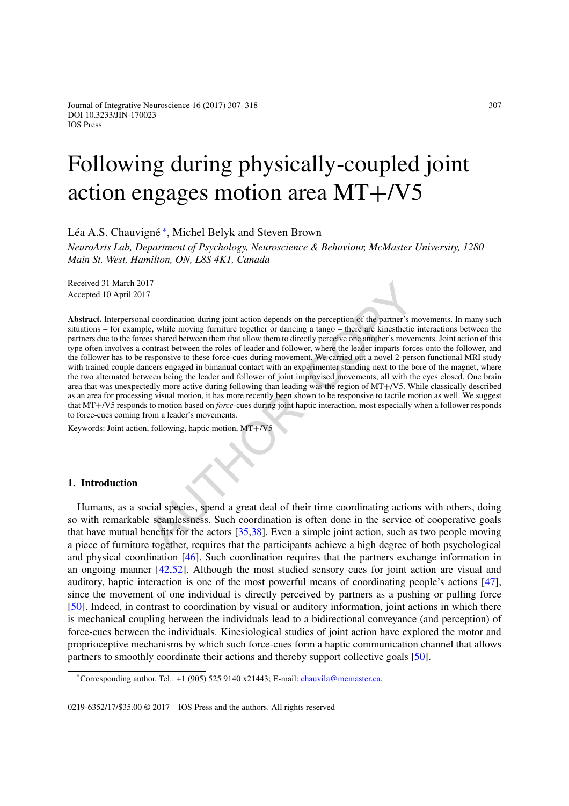Journal of Integrative Neuroscience 16 (2017) 307–318 307 DOI 10.3233/JIN-170023 IOS Press

# F ollowing during p h ysically-coupled joint action engages motion area M T +/V5

Léa A.S. Chauvigné \*, Michel Belyk and Steven Brown

*NeuroArts Lab, Department of Psycholo g y, Neuroscience & Behaviour, McMaster University, 1280 Main St. West, Hamilton, ON, L8S 4K1, Canada*

Received 31 March 2017 Accepted 1 0 April 2017

17<br>
T<br>
T<br>
al coordination during joint action depends on the perception of the partner's n<br>
le, while moving furniture together or dancing a tango – there are kinesthetic<br>
contrast between the mba dilaw them to directly p Abstract. Interpersonal coordination during joint action depends on the perception of the partner's movements. In many such situations – for e xample, while moving furniture together or dancing a tango – there are kinesthetic interactions between the partners due to the forces shared between them that allow them to directly perceive one another's movements. Joint action of this type often involves a contrast between the roles of leader and follower, where the leader imparts forces onto the follower, and the follower has to be responsive to these force-cues during movement. We carried out a novel 2-person functional MRI study with trained couple dancers engaged in bimanual contact with an experimenter standing next to the bore of the magnet, where the two alternated between being the leader and follower of joint improvised movements, all with the eyes closed. One brain area that was unexpectedly more active during following than leading was the region of MT+/V5. While classically described as an area for processing visual motion, it has more recently been shown to be responsive to tactile motion as well. We suggest that MT+/V5 responds to motion based on *force*-cues during joint haptic interaction, most especially when a follower responds to force-cues coming from a leader's movements.

Keywords: Joint action, following, haptic motion, MT+/V5

## **1. Introduction**

Humans, a s a social species, spend a great deal of their time coordinating actions with others, doing so with remarkable seamlessness. Such coordination is often done in the service of cooperative goals that have mutual benefits for the actors [35,38]. Even a simple joint action, such as two people moving a piece of furniture together, requires that the participants achieve a high degree of both psychological and physical coordination [\[46\]](#page-11-1). Such coordination requires that the partners exchange information in an ongoing manner [\[42](#page-11-2)[,52](#page-11-3)]. Although the most studied sensory cues for joint action are visual and auditory, haptic interaction is one of the most powerful means of coordinating people's actions [\[47](#page-11-4)], since the movement of one individual is directly perceived by partners as a pushing or pulling force [\[50](#page-11-5)]. Indeed, in contrast to coordination by visual or auditory information, joint actions in which there is mechanical coupling between the individuals lead to a bidirectional conveyance (and perception) of force-cues between the individuals. Kinesiological studies of joint action have explored the motor and proprioceptive mechanisms by which such force-cues form a haptic communication channel that allows partners to smoothly coordinate their actions and thereby support collective goals [\[50](#page-11-5)].

0219-6352/17/\$35.00 © 2017 – IOS Press and the authors. All rights reserv e d

<span id="page-0-0"></span><sup>\*</sup>Corresponding author. Tel.: +1 (905) 525 9140 x21443; E-mail: [chauvila@mcmaster](mailto:chauvila@mcmaster.ca).ca.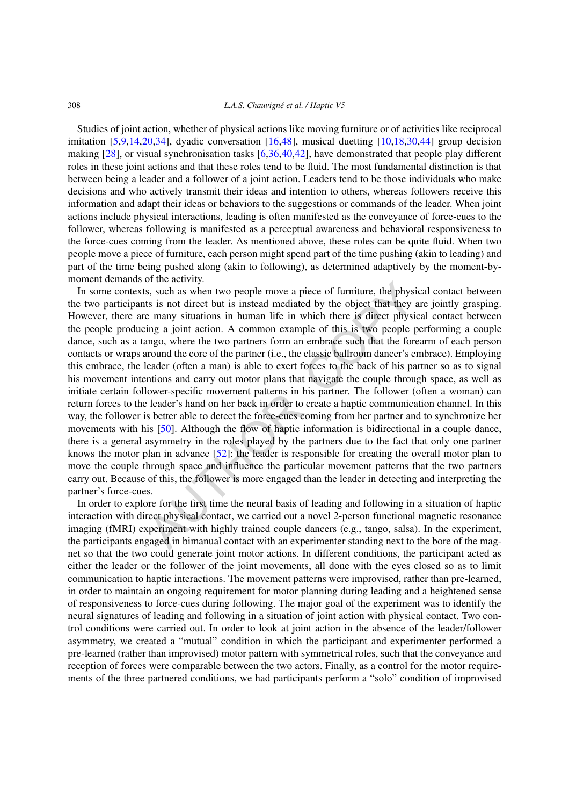Studies of joint action, whether of physical actions like moving furniture or of activities like reciprocal imitation [[5](#page-9-0),[9](#page-9-1)[,14](#page-10-1)[,20](#page-10-2)[,34](#page-10-3)], dyadic conversation [\[16](#page-10-4)[,48](#page-11-6)], musical duetting [\[10](#page-9-2)[,18](#page-10-5)[,30](#page-10-6)[,44](#page-11-7)] group decision making [\[28](#page-10-7)], or visual synchronisation tasks [[6](#page-9-3)[,36](#page-10-8)[,40](#page-11-8)[,42](#page-11-2)], have demonstrated that people play different roles in these joint actions and that these roles tend to be fluid. The most fundamental distinction is that between being a leader and a follower of a joint action. Leaders tend to be those individuals who make decisions and who actively transmit their ideas and intention to others, whereas followers receive this information and adapt their ideas or behaviors to the suggestions or commands of the leader. When joint actions include physical interactions, leading is often manifested as the conveyance of force-cues to the follower, whereas following is manifested as a perceptual awareness and behavioral responsiveness to the force-cues coming from the leader. As mentioned above, these roles can be quite fluid. When two people move a piece of furniture, each person might spend part of the time pushing (akin to leading) and part of the time being pushed along (akin to following), as determined adaptively by the moment-bymoment demands of the activity.

or an earting.<br>In the dentry,<br>as, such as when two people move a piece of furniture, the physis<br>is is not direct but is instead mediated by the object that they<br>e many situations in human life in which there is direct phy In some contexts, such as when two people move a piece of furniture, the physical contact between the two participants is not direct but is instead mediated by the object that they are jointly grasping. However, there are many situations in human life in which there is direct physical contact between the people producing a joint action. A common example of this is tw o people performing a couple dance, such as a tango, where the two partners form an embrace such that the forearm of each person contacts or wraps around the core of the partner (i.e., the classic ballroom dancer's embrace). Employing this embrace, the leader (often a man) is able to exert forces to the back of his partner so as to signal his movement intentions and carry out motor plans that navigate the couple through space, as well as initiate certain follower-specific movement patterns in his partner. The follower (often a woman) can return forces to the leader's hand on her back in order to create a haptic communication channel. In this way, the follower is better able to detect the force-cues coming from her partner and to synchronize her movements with his [50]. Although the flow of haptic information is bidirectional in a couple dance, there is a general asymmetry in the roles played by the partners due to the fact that only one partner knows the motor plan in advance [52]: the leader is responsible for creating the overall motor plan to move the couple through space and influence the particular movement patterns that the two partners carry out. Because of this, the follower is more engaged than the leader in detecting and interpreting the partner' s force-cues.

In order to explore for the first time the neural basis of leading and following in a situation of haptic interaction with direct physical contact, we carried out a novel 2-person functional magnetic resonance imaging (fMRI) experiment with highly trained couple dancers (e.g., tango, salsa). In the experiment, the participants engaged in bimanual contact with an experimenter standing next to the bore of the magnet so that the two could generate joint motor actions. In different conditions, the participant acted as either the leader or the follower of the joint movements, all done with the eyes closed so as to limit communication to haptic interactions. The movement patterns were improvised, rather than pre-learned, in order t o maintain a n ongoing requirement for motor planning during leading and a heightened sense of responsiveness to force-cues during following. The major goal of the experiment was to identify the neural signatures of leading and following in a situation of joint action with physical contact. Two control conditions were carried out. In order to look at joint action in the absence of the leader/follower asymmetry, we created a "mutual" condition in which the participant and experimenter performed a pre-learned (rather than improvised) motor pattern with symmetrical roles, such that the conveyance and reception of forces were comparable between the two actors. Finally, as a control for the motor requirements of the three partnered conditions, we had participants perform a "solo" condition of improvised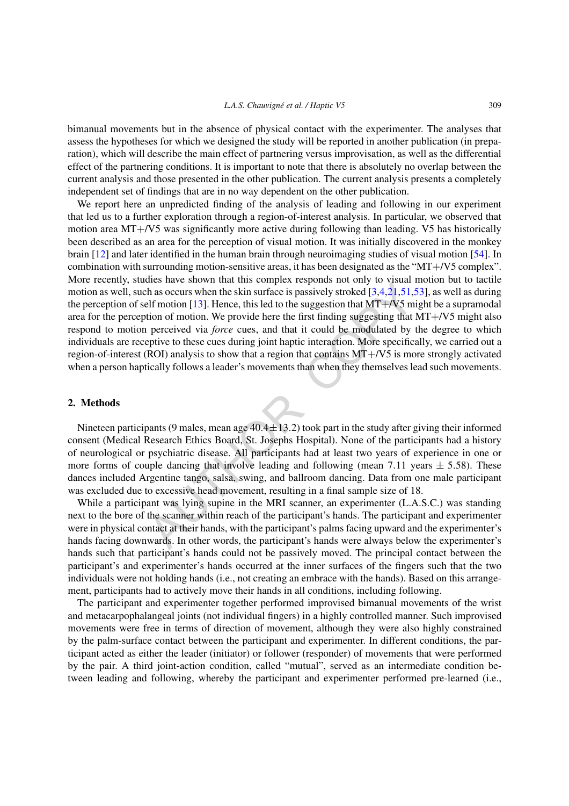bimanual movements but in the absence of physical contact with the experimenter. The analyses that assess the hypotheses for which w e designed the study will be reported i n another publication (in preparation), which will describe the main effect of partnering versus improvisation, as well as the differential effect of the partnering conditions. It is important to note that there is absolutely no overlap between the current analysis and those presented in the other publication. The current analysis presents a completely independent set of findings that are in no way dependent on the other publication.

The stare shown that unis complex Lespons for the saccurs when the skin surface is passively stroked [3,4,21,51,4] elf motion [13]. Hence, this led to the suggestion that  $MT+/VS$  m tion of motion. We provide here the first We report here an unpredicted finding of the analysis of leading and following in our experiment that led us to a further exploration through a region-of-interest analysis. In particular, we observed that motion area MT+/V5 was significantly more active during following than leading. V5 has historically been described as an area for the perception of visual motion. It was initially discovered in the monkey brain [\[12](#page-9-4)] and later identified in the human brain through neuroimaging studies of visual motion [\[54](#page-11-9)]. In combination with surrounding motion-sensitive areas, it has been designated as the "MT+/V5 complex". More recently, studies have shown that this complex responds not only to visual motion but to tactile motion as well, such as occurs when the skin surface is passively stroked [3,4,21,51[,53\]](#page-11-11), as well as during the perception of self motion [13]. Hence, this led to the suggestion that MT+/V5 might be a supramodal area for the perception o f motion. We pro vide here the first finding suggesting that M T +/V5 might also respond to motion perceived via *force* cues, and that it could be modulated by the degree to which individuals are receptive to these cues during joint haptic interaction. More specifically, we carried out a region-of-interest (ROI) analysis to show that a region that contains MT+/V5 is more strongly activated when a person haptically follows a leader's movements than when they themselves lead such movements.

# **2. Methods**

Nineteen participants (9 males, mean age  $40.4 \pm 13.2$ ) took part in the study after giving their informed consent (Medical Research Ethics Board, St. Josephs Hospital). None of the participants had a history of neurological or psychiatric disease. All participants had a t least t w o years o f experience in one or more forms of couple dancing that involve leading and following (mean  $7.11$  years  $\pm$  5.58). These dances included A r gentine tango, salsa, swing, and ballroom dancing. Data from one male participant was excluded due to excessive head movement, resulting in a final sample size of 18.

While a participant was lying supine in the MRI scanner, an experimenter (L.A.S.C.) was standing next to the bore of the scanner within reach of the participant's hands. The participant and experimenter were in physical contact at their hands, with the participant' s palms facing upward and the experimenter' s hands facing downwards. In other words, the participant's hands were always below the experimenter's hands such that participant's hands could not be passively moved. The principal contact between the participant's and experimenter's hands occurred at the inner surfaces of the fingers such that the two individuals were not holding hands (i.e., not creating an embrace with the hands). Based on this arrangement, participants had to actively move their hands in all conditions, including following.

The participant and experimenter together performed improvised bimanual movements of the wrist and metacarpophalangeal joints (not individual fingers) i n a highly controlled manner . Such impro vised mo v ements were free i n terms of direction o f m o v ement, although the y were also highly constrained by the palm-surface contact between the participant and experimenter. In different conditions, the participant acted as either the leader (initiator) or follower (responder) of movements that were performed by the pair. A third joint-action condition, called "mutual", served as an intermediate condition between leading and following, whereby the participant and experimenter performed pre-learned (i.e.,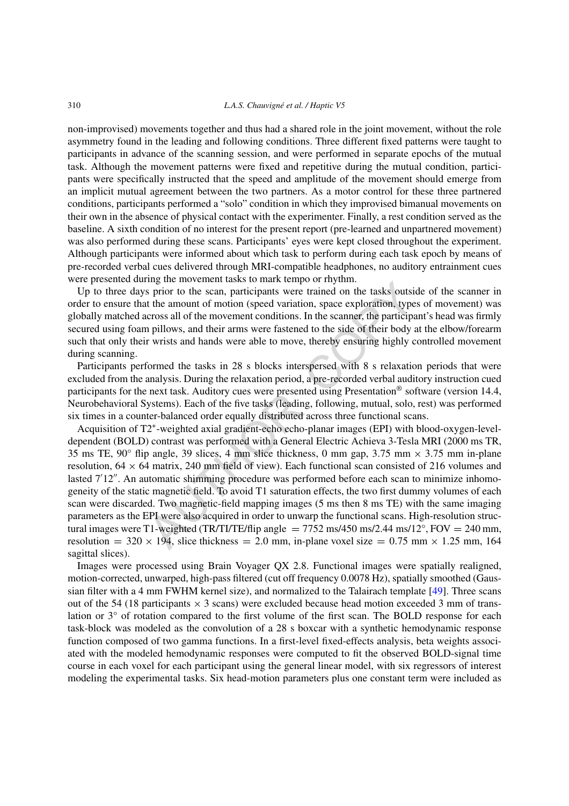non-improvised) movements together and thus had a shared role in the joint movement, without the role asymmetry found in the leading and following conditions. Three different fi x e d patterns were taught to participants in adv ance o f the scanning session, and were performed in separate epochs of the mutual task. Although the movement patterns were fixed and repetitive during the mutual condition, participants were specifically instructed that the speed and amplitude of the movement should emerge from an implicit mutual agreement between the t w o partners. A s a motor control for these three partnered conditions, participants performed a "solo" condition in which they improvised bimanual movements on their own in the absence of physical contact with the experimenter. Finally, a rest condition served as the baseline. A sixth condition of no interest for the present report (pre-learned and unpartnered movement) was also performed during these scans. Participants' eyes were kept closed throughout the experiment. Although participants were informed about which task to perform during each task epoch by means of pre-recorded verbal cues delivered through MRI-compatible headphones, no auditory entrainment cues were presented during the movement tasks to mark tempo or rhythm.

Up to three days prior to the scan, participants were trained on the tasks outside of the scanner in order to ensure that the amount of motion (speed variation, space exploration, types of movement) was globally matched across all of the movement conditions. In the scanner, the participant's head was firmly secured using foam pillows, and their arms were fastened to the side of their body at the elbow/forearm such that only their wrists and hands were able to move, thereby ensuring highly controlled movement during scanning.

Participants performed the tasks in 28 s blocks interspersed with 8 s relaxation periods that were excluded from the analysis. During the relaxation period, a pre-recorded verbal auditory instruction cued participants for the next task. Auditory cues were presented using Presentation<sup>®</sup> software (version 14.4, Neurobehavioral Systems). Each of the five tasks (leading, following, mutual, solo, rest) was performed six times in a counter-balanced order equally distrib uted across three functional scans.

ing the movement dashes of mark curpo or rigimal.<br>In given to the scan, participants were trained on the tasks outsing the mount of motion (speed variation, space exploration, type cross all of the movement conditions. In Acquisition of T2\*-weighted axial gradient-echo echo-planar images (EPI) with blood-oxygen-leveldependent (BOLD) contrast was performed with a General Electric Achieva 3-Tesla MRI (2000 ms TR, 35 ms TE, 90° flip angle, 39 slices, 4 mm slice thickness, 0 m m gap, 3 *.*75 mm × 3 *.*75 mm in-plane resolution,  $64 \times 64$  matrix, 240 mm field of view). Each functional scan consisted of 216 volumes and lasted 7'12". An automatic shimming procedure was performed before each scan to minimize inhomogeneity of the static magnetic field. To avoid T1 saturation effects, the two first dummy volumes of each scan were discarded. Two magnetic-field mapping images (5 ms then 8 ms TE) with the same imaging parameters as the EPI were also acquired in order to unwarp the functional scans. High-resolution structural images were T1-weighted (TR/TI/TE/flip angle  $= 7752$  ms/450 ms/2.44 ms/12°, FOV  $= 240$  mm, resolution =  $320 \times 194$ , slice thickness =  $2.0$  mm, in-plane voxel size =  $0.75$  mm  $\times$  1.25 mm, 164 sagittal slices).

Images were processed using Brain Vo yager QX 2.8. Functional images were spatially realigned, motion-corrected, unwarped, high-pass filtered (cut o ff frequenc y 0.0078 Hz), spatially smoothed (Gaussian filter with a 4 mm FWHM kernel size), and normalized to the Talairach template [\[49](#page-11-12)]. Three scans out of the 54 (18 participants  $\times$  3 scans) were excluded because head motion exceeded 3 mm of translation or  $3^{\circ}$  of rotation compared to the first volume of the first scan. The BOLD response for each task-block was modeled as the convolution of a 28 s boxcar with a synthetic hemodynamic response function composed of two gamma functions. In a first-level fixed-effects analysis, beta weights associated with the modeled hemodynamic responses were computed to fit the observed BOLD-signal time course in each voxel for each participant using the general linear model, with six regressors of interest modeling the experimental tasks. Six head-motion parameters plus one constant term were included a s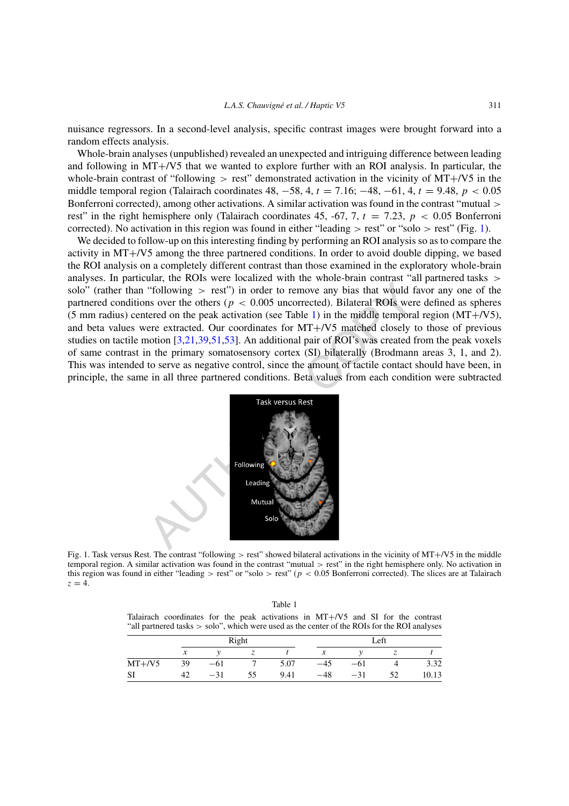nuisance regressors. In a second-level analysis, specific contrast images were brought forward into a random effects analysis.

Whole-brain analyses (unpublished) re vealed an unexpected and intriguing difference between leading and following in MT+/V5 that we wanted to explore further with an ROI analysis. In particular, the whole-brain contrast of "following > rest" demonstrated activation in the vicinity of MT+/V5 in the middle temporal region (Talairach coordinates 48,  $-58$ , 4,  $t = 7.16$ ;  $-48$ ,  $-61$ , 4,  $t = 9.48$ ,  $p < 0.05$ Bonferroni corrected), among other activations. A similar activation was found in the contrast "mutual > rest" in the right hemisphere only (Talairach coordinates 45, -67, 7,  $t = 7.23$ ,  $p < 0.05$  Bonferroni corrected). No activation in this region was found in either "leading > rest" or "solo > rest" (Fig. [1\)](#page-4-0).

"following  $>$  rest") in order to remove any bias that would find the method.<br>
"Hollowing  $>$  rest") in order to remove any bias that would find the peak activation (see Table 1) in the middle temporare extracted. Our coo We decided to follow-up on this interesting finding by performing an ROI analysis so as to compare the acti vity in MT +/V5 among the three partnered conditions. I n order to a void double dipping, we based the ROI analysis on a completely different contrast than those examined i n the exploratory whole-brain analyses. I n particular , the R OIs were localized with the whole-brain contrast "all partnered tasks *>* solo" (rather than "following > rest") in order to remove any bias that would favor any one of the partnered conditions over the others ( $p < 0.005$  uncorrected). Bilateral ROIs were defined as spheres (5 mm radius) centered o n the peak acti vation (see Table 1 ) i n the middle temporal region (MT +/V5), and beta values were extracted. Our coordinates for MT+/V5 matched closely to those of previous studies on tactile motion [3,21,39,51,53]. An additional pair of ROI's was created from the peak voxels of same contrast in the primary somatosensory corte x (SI) bilaterally (Brodmann areas 3, 1, and 2). This was intended to serve as negative control, since the amount of tactile contact should have been, in principle, the same i n all three partnered conditions. Beta values from each condition were subtracted



<span id="page-4-0"></span>Fig. 1. Task versus Rest. The contrast "following > rest" showed bilateral activations in the vicinity of MT+/V5 in the middle temporal region. A similar activation was found in the contrast "mutual > rest" in the right hemisphere only. No activation in this region was found in either "leading > rest" or "solo > rest" (*p* < 0.05 Bonferroni corrected). The slices are at Talairach  $z = 4$ .

Table 1 Talairach coordinates for the peak activations in MT+/V5 and SI for the contrast "all partnered tasks > solo", which were used as the center of the ROIs for the ROI analyses

<span id="page-4-1"></span>

|          | Right               |       |    |      | Left      |       |    |       |
|----------|---------------------|-------|----|------|-----------|-------|----|-------|
|          | $\boldsymbol{\chi}$ |       |    |      | $\lambda$ |       |    |       |
| $MT+/V5$ | 39                  | $-61$ |    | 5.07 | $-45$     | $-61$ |    | 3.32  |
|          | 42                  | $-31$ | 55 | 9.41 | $-48$     | $-31$ | 52 | 10.13 |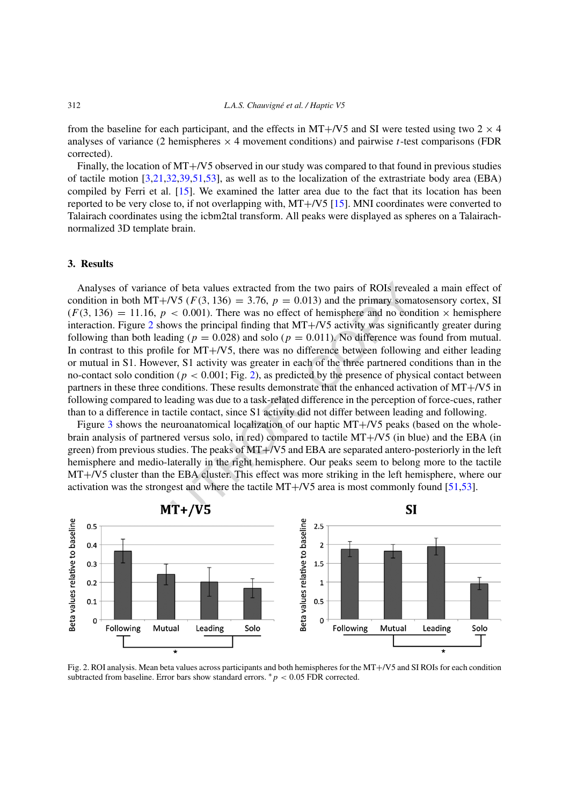from the baseline for each participant, and the effects in MT+/V5 and SI were tested using two  $2 \times 4$ analyses of variance  $(2 \text{ hemispheres} \times 4 \text{ movement conditions})$  and pairwise *t*-test comparisons (FDR corrected).

Finally, the location of MT+/V5 observed in our study was compared to that found in previous studies of tactile motion [[3](#page-9-5)[,21](#page-10-9)[,32](#page-10-10)[,39](#page-11-13)[,51](#page-11-10)[,53](#page-11-11)], as well as to the localization of the extrastriate body area (EBA) compiled by Ferri et al. [\[15\]](#page-10-11). We examined the latter area due to the fact that its location has been reported to be very close to, if not overlapping with, MT+/V5 [\[15](#page-10-11)]. MNI coordinates were converted to Talairach coordinates using the icbm2tal transform. All peaks were displayed as spheres o n a Talairachnormalized 3D template brain.

# **3. Results**

iance of beta values extracted from the two pairs of ROIs revearant  $\mu$ TH( $\nu$ S ( $F(3, 136) = 3.76$ ,  $p = 0.013$ ) and the primary somary of 6,  $p < 0.001$ ). There was no effect of hemisphere and no conce 2 shows the princip Analyses of variance of beta values extracted from the two pairs of ROIs revealed a main effect of condition in both MT+/V5 ( $F(3, 136) = 3.76$ ,  $p = 0.013$ ) and the primary somatosensory cortex, SI  $(F(3, 136) = 11.16, p < 0.001)$ . There was no effect of hemisphere and no condition  $\times$  hemisphere interaction. Figure 2 shows the principal finding that MT+/V5 activity was significantly greater during following than both leading ( $p = 0.028$ ) and solo ( $p = 0.011$ ). No difference was found from mutual. In contrast to this profile for MT+/V5, there was no difference between following and either leading or mutual in S1. However, S1 activity was greater in each of the three partnered conditions than in the no-contact solo condition ( $p < 0.001$ ; Fig. 2), as predicted by the presence of physical contact between partners in these three conditions. These results demonstrate that the enhanced activation of MT+/V5 in following compared to leading was due to a task-related difference in the perception of force-cues, rather than to a difference in tactile contact, since S1 activity did not differ between leading and following.

Figure [3](#page-6-0) shows the neuroanatomical localization of our haptic MT+/V5 peaks (based on the wholebrain analysis of partnered versus solo, in red) compared to tactile MT+/V5 (in blue) and the EBA (in green) from previous studies. The peaks o f M T +/V5 and EB A are separated antero-posteriorly in the left hemisphere and medio-laterally in the right hemisphere. Our peaks seem to belong more to the tactile MT +/V5 cluster than the E B A cluster . This effect w a s more striking i n the left hemisphere, where our activation was the strongest and where the tactile MT+/V5 area is most commonly found [\[51](#page-11-10)[,53\]](#page-11-11).



<span id="page-5-0"></span>Fig. 2. ROI analysis. Mean beta values across participants and both hemispheres for the MT+/V5 and SI ROIs for each condition subtracted from baseline. Error bars show standard errors.  $p < 0.05$  FDR corrected.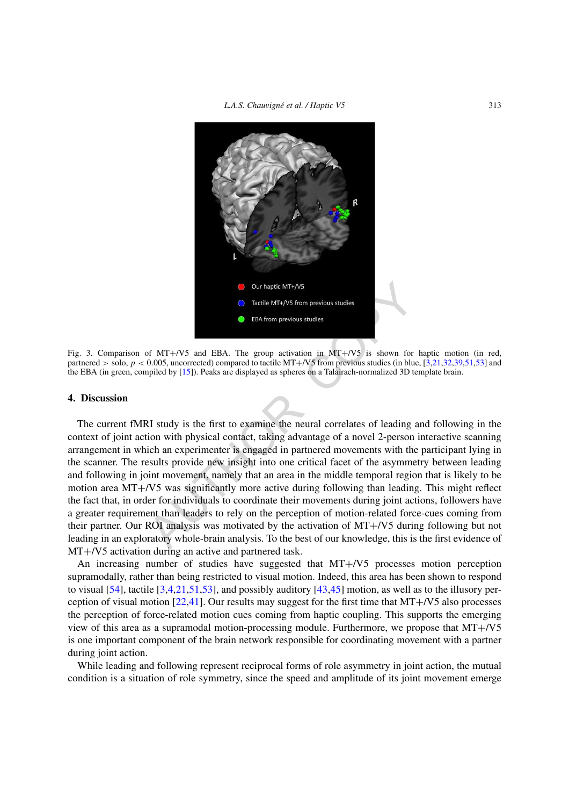*L.A.S. Chauvigné et al. / Haptic V5* 313



<span id="page-6-0"></span>Fig. 3. Comparison of MT+/V5 and EBA. The group activation in MT+/V5 is shown for haptic motion (in red, partnered > solo,  $p < 0.005$ , uncorrected) compared to tactile MT+/V5 from previous studies (in blue, [[3](#page-9-5)[,21](#page-10-9)[,32](#page-10-10)[,39](#page-11-13)[,51](#page-11-10)[,53](#page-11-11)] and the EBA (in green, compiled by [15]). Peaks are displayed as spheres on a Talairach-normalized 3D template brain.

## **4. Discussion**

O our haptic MT+/V5<br>
O Tactile MT+/V5 from previous studies<br>
O EBA from previous studies<br>
O EBA from previous studies<br>
O EBA from previous studies<br>
O EDA from previous studies<br>
O EDA from previous studies<br>
O EDA from prev The current fMRI study is the first to examine the neural correlates of leading and following in the context of joint action with physical contact, taking advantage of a novel 2-person interactive scanning arrangement in which an experimenter is engaged in partnered movements with the participant lying in the scanner. The results provide new insight into one critical facet of the asymmetry between leading and following in joint movement, namely that an area in the middle temporal region that is likely to be motion area MT+/V5 was significantly more active during following than leading. This might reflect the fact that, in order for individuals to coordinate their movements during joint actions, followers have a greater requirement than leaders to rely on the perception of motion-related force-cues coming from their partner. Our ROI analysis was motivated by the activation of MT+/V5 during following but not leading in an exploratory whole-brain analysis. To the best of our knowledge, this is the first evidence of MT+/V5 activation during an active and partnered task.

An increasing number o f studies ha v e suggested that MT +/V5 processes motion perception supramodally , rather than being restricted to visual motion. Indeed, this area has been sho w n t o respond to visual  $[54]$  $[54]$ , tactile  $[3,4,21,51,53]$  $[3,4,21,51,53]$  $[3,4,21,51,53]$  $[3,4,21,51,53]$  $[3,4,21,51,53]$  $[3,4,21,51,53]$  $[3,4,21,51,53]$  $[3,4,21,51,53]$ , and possibly auditory  $[43,45]$  $[43,45]$  $[43,45]$  motion, as well as to the illusory perception o f visual motion [\[22](#page-10-12) [,41\]](#page-11-16). Our results may suggest for the first time that M T +/V5 also processes the perception of force-related motion cues coming from haptic coupling. This supports the emerging view of this area as a supramodal motion-processing module. Furthermore, we propose that MT+/V5 is one important component of the brain network responsible for coordinating m o v ement with a partner during joint action.

While leading and following represent reciprocal forms of role asymmetry in joint action, the mutual condition is a situation of role symmetry, since the speed and amplitude of its joint movement emerge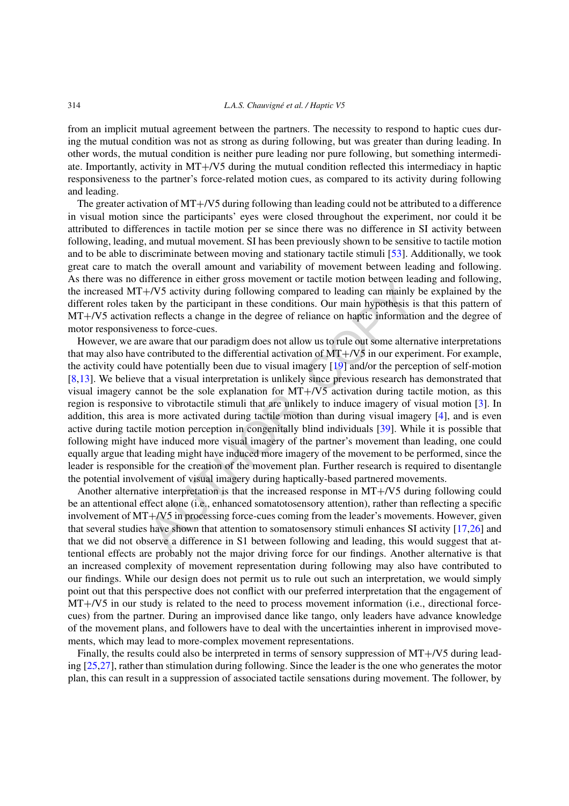from an implicit mutual agreement between the partners. The necessity to respond to haptic cues during the mutual condition was not as strong as during following, b u t was greater than during leading. In other words, the mutual condition is neither pure leading nor pure following, but something intermediate. Importantly, activity in MT+/V5 during the mutual condition reflected this intermediacy in haptic responsiveness to the partner's force-related motion cues, as compared to its activity during following and leading.

The greater activation of MT+/V5 during following than leading could not be attributed to a difference in visual motion since the participants' eyes were closed throughout the experiment, nor could it be attributed to differences in tactile motion per se since there was no difference in SI activity between following, leading, and mutual movement. SI has been previously shown to be sensitive to tactile motion and to be able to discriminate between moving and stationary tactile stimuli [\[53](#page-11-11)]. Additionally, we took great care to match the overall amount and variability of movement between leading and following. As there was no difference in either gross movement or tactile motion between leading and following, the increased MT+/V5 activity during following compared to leading can mainly be explained by the different roles taken by the participant in these conditions. Our main hypothesis is that this pattern of MT+/V5 activation reflects a change in the degree of reliance on haptic information and the degree of motor responsi veness t o force-cues.

*HNS* activity during following compared to leading can mainly<br>*HNS* activity during following compared to leading can mainly<br>nn by the participant in these conditions. Our main hypothesis in<br>neflects a change in the degr However, we are aware that our paradigm does not allow us to rule out some alternative interpretations that may also have contributed to the differential activation of MT+/V5 in our experiment. For example, the activity could have potentially been due to visual imagery [19] and/or the perception of self-motion [[8](#page-9-8)[,13\]](#page-9-7). We believe that a visual interpretation is unlikely since previous research has demonstrated that visual imagery cannot be the sole explanation for MT+/V5 activation during tactile motion, as this region is responsive to vibrotactile stimuli that are unlikely to induce imagery of visual motion [[3\]](#page-9-5). In addition, this area is more activated during tactile motion than during visual imagery [[4](#page-9-6)], and is even active during tactile motion perception in congenitally blind individuals [39]. While it is possible that following might have induced more visual imagery of the partner's movement than leading, one could equally argue that leading might have induced more imagery of the movement to be performed, since the leader is responsible for the creation of the movement plan. Further research is required to disentangle the potential i nvolv ement of visual imagery during haptically-based partnered m o v ements.

Another alternative interpretation is that the increased response in MT+/V5 during following could be an attentional effect alone (i.e., enhanced somatotosensory attention), rather than reflecting a specific involvement of MT+/V5 in processing force-cues coming from the leader's movements. However, given that several studies have shown that attention to somatosensory stimuli enhances SI activity [\[17](#page-10-14)[,26](#page-10-15)] and that we did not observ e a difference i n S 1 between following and leading, this would suggest that attentional effects are probably not the major driving force for our findings. Another alternative is that an increased complexity of movement representation during following may also have contributed to our findings. While our design does not permit us to rule out such an interpretation, we would simply point out that this perspective does not conflict with our preferred interpretation that the engagement of MT+/V5 in our study is related to the need to process movement information (i.e., directional forcecues) from the partner. During an improvised dance like tango, only leaders have advance knowledge of the movement plans, and followers have to deal with the uncertainties inherent in improvised movements, which may lead to more-comple x mo v ement representations.

Finally, the results could also be interpreted in terms of sensory suppression of MT+/V5 during leading [\[25](#page-10-16)[,27\]](#page-10-17), rather than stimulation during following. Since the leader is the one who generates the motor plan, this can result in a suppression of associated tactile sensations during movement. The follower, by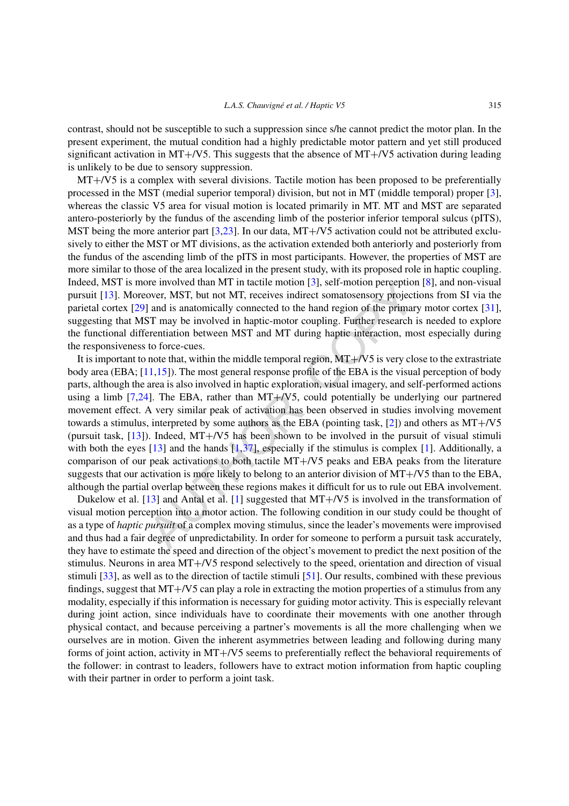contrast, should not be susceptible to such a suppression since s/he cannot predict the motor plan. In the present experiment, the mutual condition had a highly predictable motor pattern and yet still produced significant activation in MT+/V5. This suggests that the absence of MT+/V5 activation during leading is unlikely t o b e due to sensory suppression.

MT+/V5 is a complex with several divisions. Tactile motion has been proposed to be preferentially processed in the MST (medial superior temporal) division, but not in MT (middle temporal) proper [[3\]](#page-9-5), whereas the classic V5 area for visual motion is located primarily in MT. MT and MST are separated antero-posteriorly by the fundus of the ascending limb o f the posterior inferior temporal sulcus (pITS), MST being the more anterior part [[3](#page-9-5)[,23](#page-10-18)]. In our data, MT+/V5 activation could not be attributed exclusively to either the MST or MT divisions, as the activation extended both anteriorly and posteriorly from the fundus of the ascending limb of the pITS in most participants. However, the properties of MST are more similar to those of the area localized in the present study, with its proposed role in haptic coupling. Indeed, MST is more involved than MT in tactile motion [[3](#page-9-5)], self-motion perception [[8\]](#page-9-8), and non-visual pursuit [\[13](#page-9-7)]. Moreover, MST, but not MT, receives indirect somatosensory projections from SI via the parietal cortex [\[29](#page-10-19)] and is anatomically connected to the hand region of the primary motor cortex [\[31](#page-10-20)], suggesting that MST may be involved in haptic-motor coupling. Further research is needed to explore the functional differentiation between MST and MT during haptic interaction, most especially during the responsi veness t o force-cues.

over, MS[T](#page-9-12), but not M1 in tactite motion [3], self-motion perception<br>over, MST, but not MT, receives indirect somatosensory project<br>] and is anatomically connected to the hand region of the primare<br>ST may be involved in ha It is important to note that, within the middle temporal region, MT+/V5 is very close to the extrastriate body area (EBA; [\[11](#page-9-9),15]). The most general response profile of the EBA is the visual perception of body parts, although the area is also involved in haptic exploration, visual imagery, and self-performed actions using a limb [[7](#page-9-10)[,24](#page-10-21)]. The EBA, rather than MT+/V5, could potentially be underlying our partnered movement effect. A very similar peak of activation has been observed in studies involving movement towards a stimulus, interpreted by some authors as the EBA (pointing task, [2]) and others as MT+/V5 (pursuit task, [\[13\]](#page-9-7)). Indeed, MT+/V5 has been shown to be involved in the pursuit of visual stimuli with both the eyes  $[13]$  $[13]$  $[13]$  and the hands  $[1,37]$ , especially if the stimulus is complex  $[1]$ . Additionally, a comparison of our peak activations to both tactile MT+/V5 peaks and EBA peaks from the literature suggests that our activation is more likely to belong to an anterior division of MT+/V5 than to the EBA, although the partial overlap between these regions makes it difficult for us to rule out EBA involvement.

Dukelow et al. [13] and Antal et al. [1] suggested that MT+/V5 is involved in the transformation of visual motion perception into a motor action. The following condition in our study could be thought of as a type of *haptic pursuit* of a complex moving stimulus, since the leader's movements were improvised and thus had a fair degree of unpredictability . I n order for someone to perform a pursuit task accurately , they have to estimate the speed and direction of the object's movement to predict the next position of the stimulus. Neurons in area MT+/V5 respond selectively to the speed, orientation and direction of visual stimuli [\[33\]](#page-10-23), as well as to the direction of tactile stimuli [\[51\]](#page-11-10). Our results, combined with these previous findings, suggest that MT+/V5 can play a role in extracting the motion properties of a stimulus from any modality, especially if this information is necessary for guiding motor activity. This is especially relevant during joint action, since individuals have to coordinate their movements with one another through physical contact, and because perceiving a partner' s mo v ements i s all the more challenging when we ourselves are in motion. Given the inherent asymmetries between leading and following during many forms of joint action, activity in MT+/V5 seems to preferentially reflect the behavioral requirements of the follower: in contrast to leaders, followers ha v e to e xtract motion information from haptic coupling with their partner in order to perform a joint task.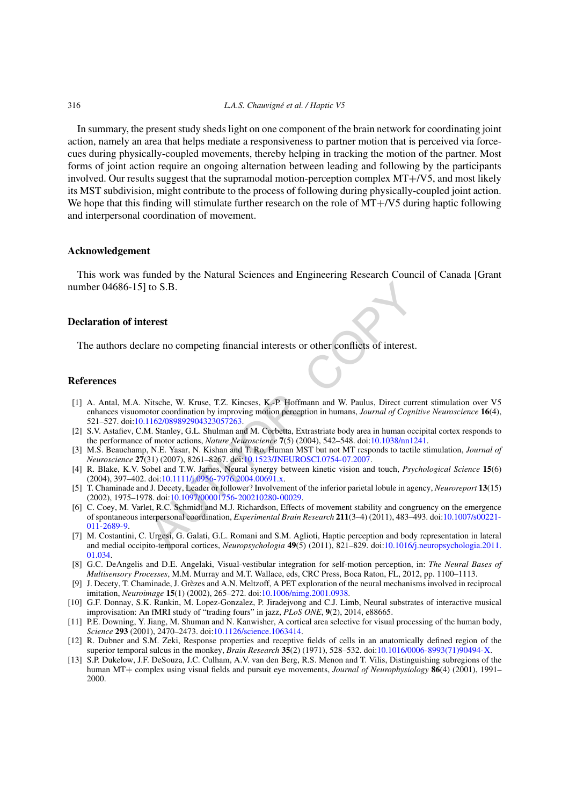In summary , the present study shedslight on one component of the brain network for coordinating joint action, namely an area that helps mediate a responsiveness to partner motion that is perceived via forcecues during physically-coupled movements, thereby helping in tracking the motion of the partner. Most forms of joint action require an ongoing alternation between leading and following by the participants inv olved. Our results suggest that the supramodal motion-perception comple x MT +/V5, and most likely its MST subdivision, might contribute to the process of following during physically-coupled joint action. We hope that this finding will stimulate further research on the role of MT+/V5 during haptic following and interpersonal coordination o f m o v ement.

# **Acknowledgement**

This w ork w a s funded b y the Natural Sciences and Engineering Research Council of Canada [Grant number 04686-15] to S.B.

# **Declaration o f interest**

The authors declare n o competing financial interests or other conflicts of interest.

# **Refer ences**

- <span id="page-9-12"></span>[1] A. Antal, M.A. Nitsche, W. Kruse, T.Z. Kincses, K.-P. Hoffmann and W. Paulus, Direct current stimulation over V5 enhances visuomotor coordination by improving motion perception in humans, *Journal of Cognitive Neuroscience* 16(4), 521–527. doi[:10.1162/089892904323057263](http://dx.doi.org/10.1162/089892904323057263) .
- <span id="page-9-11"></span>[2] S.V. Astafiev, C.M. Stanley, G.L. Shulman and M. Corbetta, Extrastriate body area in human occipital cortex responds to the performance of motor actions, *Nature Neuroscience* **7**(5) (2004), 542–548. doi[:10.1038/nn1241](http://dx.doi.org/10.1038/nn1241) .
- <span id="page-9-5"></span>[3] M.S. Beauchamp, N.E. Yasar, N. Kishan and T . Ro, Human MST b u t not MT responds to tactile stimulation, *Journal of Neuroscience* **27**(31) (2007), 8261–8267. doi:10.1523/JNEUR OSCI.0754-07.2007 .
- <span id="page-9-6"></span>[4] R . Blak e , K.V. Sobel and T . W. James, Neural syner g y between kinetic vision and touch, *Psycholo gical Science* **15**(6) (2004), 397–402. doi:10.1111/j.0956-7976.2004.00691.x .
- <span id="page-9-3"></span><span id="page-9-0"></span>[5] T. Chaminade and J. Decety, Leader or follower? Involvement of the inferior parietal lobule in agency, *Neuroreport* 13(15) (2002), 1975–1978. doi:10.1097/00001756-200210280-00029 .
- to S.B.<br>
are no competing financial interests or other conflicts of interest.<br>
are no competing financial interests or other conflicts of interest.<br>
Nitsche, W. Kruse, T.Z. Kincses, K.-P. Hoffmann and W. Paulus, Direct cur [6] C. Coey, M. Varlet, R.C. Schmidt and M.J. Richardson, Effects of movement stability and congruency on the emergence of spontaneous interpersonal coordination, *Experimental Brain Researc h* **211**(3–4) (2011), 483–493. doi[:10.1007/s00221-](http://dx.doi.org/10.1007/s00221-011-2689-9) [011-2689-](http://dx.doi.org/10.1007/s00221-011-2689-9) 9 .
- <span id="page-9-10"></span>[7] M. Costantini, C. Urgesi, G. Galati, G.L. Romani and S.M. Aglioti, Haptic perception and body representation in lateral and medial occipito-temporal cortices, *Neuropsycholo gia* **49**(5) (2011), 821–829. doi[:10.1016/j.neuropsychologia.2011.](http://dx.doi.org/10.1016/j.neuropsychologia.2011.01.034) [01.034](http://dx.doi.org/10.1016/j.neuropsychologia.2011.01.034) .
- <span id="page-9-8"></span>[8] G.C. DeAngelis and D.E. Angelaki, Visual-vestibular integration for self-motion perception, in: *The Neural Bases of Multisensory Processes* , M.M. Murray and M.T . Wallace, eds, CRC Press, Boca Raton, FL, 2012, pp. 1100–1113.
- <span id="page-9-1"></span>[9] J . Decety, T . Chaminade, J. Grèzes and A.N. Meltzoff, A PET exploration o f the neural mechanisms inv olved in reciprocal imitation, *Neuroimage* 15(1) (2002), 265-272. doi[:10.1006/nimg.2001.0938](http://dx.doi.org/10.1006/nimg.2001.0938).
- <span id="page-9-2"></span>[10] G.F. Donnay, S.K. Rankin, M. Lopez-Gonzalez, P. Jiradejvong and C.J. Limb, Neural substrates of interactive musical impro visation: An fMRI study of "trading fours" in jazz, *PLoS ONE* , **9**(2), 2014, e88665.
- <span id="page-9-9"></span>[11] P.E. Downing, Y. Jiang, M. Shuman and N . Kanwisher, A cortical area selecti v e for visual processing of the human body, *Science* **293** (2001), 2470–2473. doi[:10.1126/science.1063414](http://dx.doi.org/10.1126/science.1063414) .
- <span id="page-9-4"></span>[12] R. Dubner and S.M. Zeki, Response properties and receptive fields of cells in an anatomically defined region of the superior temporal sulcus in the monkey, *Brain Research* 35(2) (1971), 528–532. doi[:10.1016/0006-8993\(71\)90494-](http://dx.doi.org/10.1016/0006-8993(71)90494-X)X.
- <span id="page-9-7"></span>[13] S.P. Dukelow, J.F. DeSouza, J.C. Culham, A.V. van den Berg, R.S. Menon and T. Vilis, Distinguishing subregions of the human MT+ complex using visual fields and pursuit eye movements, *Journal of Neurophysiology* 86(4) (2001), 1991– 2000.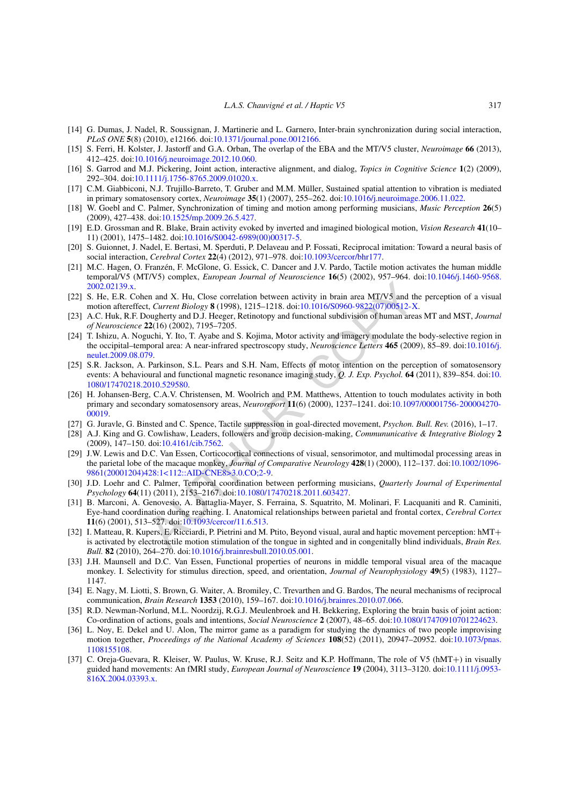- <span id="page-10-1"></span>[14] G. Dumas, J. Nadel, R. Soussignan, J. Martinerie and L. Garnero, Inter-brain synchronization during social interaction, PLoS ONE 5(8) (2010), e12166. doi[:10.1371/journal.pone.0012166](http://dx.doi.org/10.1371/journal.pone.0012166).
- <span id="page-10-11"></span>[15] S. Ferri, H. Kolster, J. Jastorff and G.A. Orban, The overlap of the EBA and the MT/V5 cluster, *Neuroimage* 66 (2013), 412–425. doi[:10.1016/j.neuroimage.2012.10.060](http://dx.doi.org/10.1016/j.neuroimage.2012.10.060) .
- <span id="page-10-4"></span>[16] S. Garrod and M.J. Pickering, Joint action, interactive alignment, and dialog, *Topics in Cognitive Science* 1(2) (2009), 292–304. doi[:10.1111/j.1756-8765.2009.01020.x](http://dx.doi.org/10.1111/j.1756-8765.2009.01020.x) .
- <span id="page-10-14"></span>[17] C.M. Giabbiconi, N.J. Trujillo-Barreto, T. Gruber and M.M. Müller, Sustained spatial attention to vibration is mediated in primary somatosensory corte x , *Neuroima g e* **35**(1) (2007), 255–262. doi[:10.1016/j.neuroimage.2006.11.022](http://dx.doi.org/10.1016/j.neuroimage.2006.11.022) .
- <span id="page-10-5"></span>[18] W. Goebl and C. P almer, Synchronization o f timing and motion among performing musicians, *Music Perception* **26**(5) (2009), 427–438. doi[:10.1525/mp.2009.26.5.427](http://dx.doi.org/10.1525/mp.2009.26.5.427) .
- <span id="page-10-13"></span>[19] E.D. Grossman and R. Blake, Brain activity evoked by inverted and imagined biological motion, Vision Research 41(10– 11) (2001), 1475–1482. doi[:10.1016/S0042-6989\(00\)00317-](http://dx.doi.org/10.1016/S0042-6989(00)00317-5) 5 .
- <span id="page-10-2"></span>[20] S. Guionnet, J. Nadel, E. Bertasi, M. Sperduti, P. Delaveau and P. Fossati, Reciprocal imitation: Toward a neural basis of social interaction, *Cerebral Cortex* **22**(4) (2012), 971–978. doi[:10.1093/cercor/bhr177](http://dx.doi.org/10.1093/cercor/bhr177) .
- <span id="page-10-9"></span>[21] M.C. Hagen, O. Franzén, F. McGlone, G. Essick, C. Dancer and J.V. Pardo, Tactile motion activates the human middle temporal/V5 (MT/V5) complex, *European Journal of Neuroscience* **16**(5) (2002), 957–964. doi[:10.1046/j.1460-9568.](http://dx.doi.org/10.1046/j.1460-9568.2002.02139.x) [2002.02139.x](http://dx.doi.org/10.1046/j.1460-9568.2002.02139.x) .
- <span id="page-10-12"></span>[22] S. He, E.R. Cohen and X. Hu, Close correlation between activity in brain area MT/V5 and the perception of a visual motion aftereffect, *Current Biology* **8** (1998), 1215–1218. doi:10.1016/S0960-9822(07)00512- X .
- <span id="page-10-18"></span>[23] A.C. Huk, R.F. Dougherty and D.J. Heeger, Retinotopy and functional subdivision of human areas MT and MST, Journal *of Neuroscience* **22**(16) (2002), 7195–7205.
- <span id="page-10-21"></span>[24] T. Ishizu, A. Noguchi, Y. Ito, T. Ayabe and S. Kojima, Motor activity and imagery modulate the body-selective region in the occipital–temporal area: A near-infrared spectroscopy study, *Neuroscience Letters* 465 (2009), 85–89. doi[:10.1016/j.](http://dx.doi.org/10.1016/j.neulet.2009.08.079) [neulet.2009.08.079](http://dx.doi.org/10.1016/j.neulet.2009.08.079) .
- <span id="page-10-16"></span>[25] S.R. Jackson, A. Parkinson, S.L. Pears and S.H. Nam, Effects of motor intention on the perception of somatosensory e vents: A behavioural and functional magnetic resonance imaging study, *Q. J. Exp. Psychol.* **64** (2011), 839–854. doi[:10.](http://dx.doi.org/10.1080/17470218.2010.529580) [1080/17470218.2010.529580](http://dx.doi.org/10.1080/17470218.2010.529580) .
- <span id="page-10-15"></span>[26] H. Johansen-Berg, C.A.V. Christensen, M. Woolrich and P.M. Matthews, Attention to touch modulates activity in both primary and secondary somatosensory areas, *Neuroreport* **11**(6) (2000), 1237–1241. doi[:10.1097/00001756-200004270-](http://dx.doi.org/10.1097/00001756-200004270-00019) [00019](http://dx.doi.org/10.1097/00001756-200004270-00019) .
- <span id="page-10-17"></span>[27] G. Juravle, G. Binsted and C. Spence, Tactile suppression in goal-directed mo v ement, *Psychon. Bull. Re v.* (2016), 1–17.
- <span id="page-10-19"></span><span id="page-10-7"></span>[28] A.J. King and G . C o wlishaw, Leaders, followers and group decision-making, *Commununicative & Integrative Biology* **2** (2009), 147–150. doi:10.4161/cib .7562 .
- en and X. Hu, Close correlation between activity in brain area MT/V5 and tt, *Current Biology* **8** (1998), 1215–1218. doi:10.1016/S0960-9822(07)00512-x<br>ougherty and D.J. Heeger, Retinotopy and functional subdivision of hu [29] J.W. Lewis and D.C. Va n Essen, Corticocortical connections of visual, sensorimotor , and multimodal processing areas in the parietal lobe of the macaque monk e y , *Journal of Comparative Neurology* **428**(1) (2000), 112–137. doi[:10.1002/1096-](http://dx.doi.org/10.1002/1096-9861(20001204)428:1<112::AID-CNE8>3.0.CO;2-9) 9861(20001204)428:1<112::AID-CNE8>3.0.CO;2- 9 .
- <span id="page-10-6"></span>[30] J.D. Loehr and C. P almer, Temporal coordination between performing musicians, *Quarterly Journal of Experimental Psycholo g y* **64**(11) (2011), 2153–2167. doi:10.1080/17470218.2011.603427 .
- <span id="page-10-20"></span>[31] B. Marconi, A. Genovesio, A. Battaglia-Mayer, S. Ferraina, S. Squatrito, M. Molinari, F. Lacquaniti and R. Caminiti, Eye-hand coordination during reaching. I. Anatomical relationships between parietal and frontal cortex, Cerebral Cortex **11**(6) (2001), 513–527. doi:10.1093/cercor/11.6.513 .
- <span id="page-10-10"></span>[32] I. Matteau, R . Kupers, E . Ricciardi, P. Pietrini and M. Ptito, B eyond visual, aural and haptic mo v ement perception: hMT + is acti vated by electrotactile motion stimulation o f the tongue in sighted and i n congenitally blind individuals, *Brain Res. Bull.* **82** (2010), 264–270. doi[:10.1016/j.brainresb](http://dx.doi.org/10.1016/j.brainresbull.2010.05.001) ull.2010.05.001 .
- <span id="page-10-23"></span>[33] J.H. Maunsell and D.C. Van Essen, Functional properties of neurons in middle temporal visual area of the macaque monkey. I. Selectivity for stimulus direction, speed, and orientation, Journal of Neurophysiology 49(5) (1983), 1127– 1147.
- <span id="page-10-3"></span>[34] E. Nagy, M. Liotti, S. Brown, G. Waiter, A. Bromiley, C. Trevarthen and G. Bardos, The neural mechanisms of reciprocal communication, *Brain Researc h* **1353** (2010), 159–167. doi[:10.1016/j.brainres.2010.07.066](http://dx.doi.org/10.1016/j.brainres.2010.07.066) .
- <span id="page-10-0"></span>[35] R.D. Newman-Norlund, M.L. Noordzij, R.G.J. Meulenbroek and H. Bekkering, Exploring the brain basis of joint action: Co-ordination of actions, goals and intentions, *Social Neuroscience* 2 (2007), 48–65. doi[:10.1080/17470910701224623](http://dx.doi.org/10.1080/17470910701224623).
- <span id="page-10-8"></span>[36] L. Noy, E. Dekel and U. Alon, The mirror game as a paradigm for studying the dynamics of two people improvising motion together, *Proceedings of the National Academy of Sciences* **108**(52) (2011), 20947–20952. doi[:10.1073/pnas.](http://dx.doi.org/10.1073/pnas.1108155108) [1108155108](http://dx.doi.org/10.1073/pnas.1108155108) .
- <span id="page-10-22"></span>[37] C. Oreja-Guevara, R. Kleiser, W. Paulus, W. Kruse, R.J. Seitz and K.P. Hoffmann, The role of V5 (hMT+) in visually guided hand m o v ements: An fMRI study, *European Journal of Neuroscience* **19** (2004), 3113–3120. doi[:10.1111/j.0953-](http://dx.doi.org/10.1111/j.0953-816X.2004.03393.x) [816X.2004.03393.x](http://dx.doi.org/10.1111/j.0953-816X.2004.03393.x) .